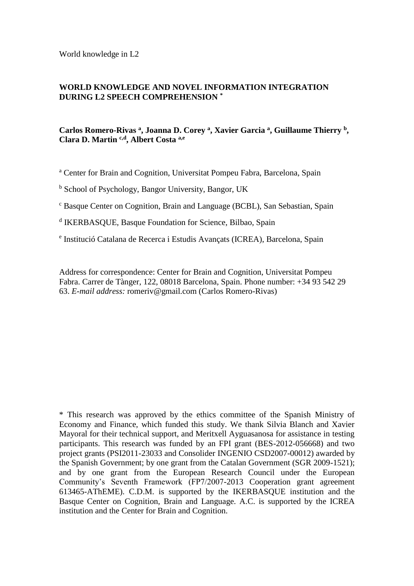World knowledge in L2

# **WORLD KNOWLEDGE AND NOVEL INFORMATION INTEGRATION DURING L2 SPEECH COMPREHENSION \***

# **Carlos Romero-Rivas <sup>a</sup> , Joanna D. Corey <sup>a</sup> , Xavier Garcia <sup>a</sup> , Guillaume Thierry <sup>b</sup> , Clara D. Martin c,d , Albert Costa a,e**

<sup>a</sup> Center for Brain and Cognition, Universitat Pompeu Fabra, Barcelona, Spain

<sup>b</sup> School of Psychology, Bangor University, Bangor, UK

<sup>c</sup> Basque Center on Cognition, Brain and Language (BCBL), San Sebastian, Spain

d IKERBASQUE, Basque Foundation for Science, Bilbao, Spain

e Institució Catalana de Recerca i Estudis Avançats (ICREA), Barcelona, Spain

Address for correspondence: Center for Brain and Cognition, Universitat Pompeu Fabra. Carrer de Tànger, 122, 08018 Barcelona, Spain. Phone number: +34 93 542 29 63. *E-mail address:* romeriv@gmail.com (Carlos Romero-Rivas)

\* This research was approved by the ethics committee of the Spanish Ministry of Economy and Finance, which funded this study. We thank Silvia Blanch and Xavier Mayoral for their technical support, and Meritxell Ayguasanosa for assistance in testing participants. This research was funded by an FPI grant (BES-2012-056668) and two project grants (PSI2011-23033 and Consolider INGENIO CSD2007-00012) awarded by the Spanish Government; by one grant from the Catalan Government (SGR 2009-1521); and by one grant from the European Research Council under the European Community's Seventh Framework (FP7/2007-2013 Cooperation grant agreement 613465-AThEME). C.D.M. is supported by the IKERBASQUE institution and the Basque Center on Cognition, Brain and Language. A.C. is supported by the ICREA institution and the Center for Brain and Cognition.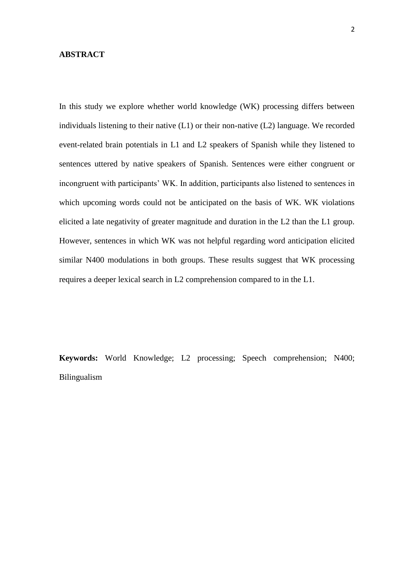## **ABSTRACT**

In this study we explore whether world knowledge (WK) processing differs between individuals listening to their native (L1) or their non-native (L2) language. We recorded event-related brain potentials in L1 and L2 speakers of Spanish while they listened to sentences uttered by native speakers of Spanish. Sentences were either congruent or incongruent with participants' WK. In addition, participants also listened to sentences in which upcoming words could not be anticipated on the basis of WK. WK violations elicited a late negativity of greater magnitude and duration in the L2 than the L1 group. However, sentences in which WK was not helpful regarding word anticipation elicited similar N400 modulations in both groups. These results suggest that WK processing requires a deeper lexical search in L2 comprehension compared to in the L1.

**Keywords:** World Knowledge; L2 processing; Speech comprehension; N400; Bilingualism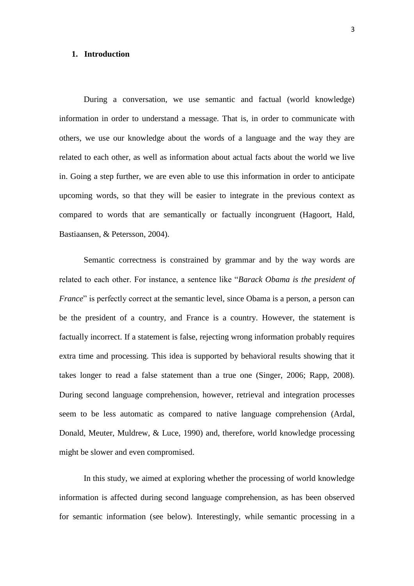### **1. Introduction**

During a conversation, we use semantic and factual (world knowledge) information in order to understand a message. That is, in order to communicate with others, we use our knowledge about the words of a language and the way they are related to each other, as well as information about actual facts about the world we live in. Going a step further, we are even able to use this information in order to anticipate upcoming words, so that they will be easier to integrate in the previous context as compared to words that are semantically or factually incongruent (Hagoort, Hald, Bastiaansen, & Petersson, 2004).

Semantic correctness is constrained by grammar and by the way words are related to each other. For instance, a sentence like "*Barack Obama is the president of France*" is perfectly correct at the semantic level, since Obama is a person, a person can be the president of a country, and France is a country. However, the statement is factually incorrect. If a statement is false, rejecting wrong information probably requires extra time and processing. This idea is supported by behavioral results showing that it takes longer to read a false statement than a true one (Singer, 2006; Rapp, 2008). During second language comprehension, however, retrieval and integration processes seem to be less automatic as compared to native language comprehension (Ardal, Donald, Meuter, Muldrew, & Luce, 1990) and, therefore, world knowledge processing might be slower and even compromised.

In this study, we aimed at exploring whether the processing of world knowledge information is affected during second language comprehension, as has been observed for semantic information (see below). Interestingly, while semantic processing in a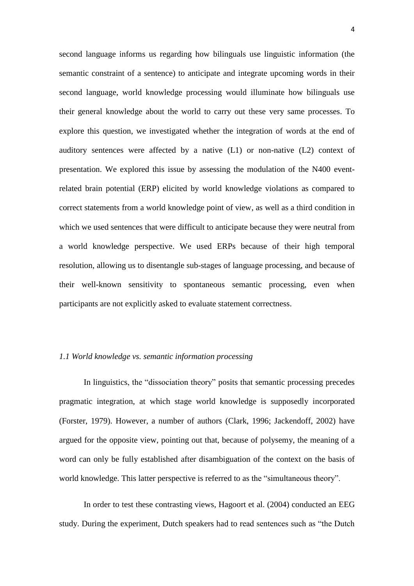second language informs us regarding how bilinguals use linguistic information (the semantic constraint of a sentence) to anticipate and integrate upcoming words in their second language, world knowledge processing would illuminate how bilinguals use their general knowledge about the world to carry out these very same processes. To explore this question, we investigated whether the integration of words at the end of auditory sentences were affected by a native (L1) or non-native (L2) context of presentation. We explored this issue by assessing the modulation of the N400 eventrelated brain potential (ERP) elicited by world knowledge violations as compared to correct statements from a world knowledge point of view, as well as a third condition in which we used sentences that were difficult to anticipate because they were neutral from a world knowledge perspective. We used ERPs because of their high temporal resolution, allowing us to disentangle sub-stages of language processing, and because of their well-known sensitivity to spontaneous semantic processing, even when participants are not explicitly asked to evaluate statement correctness.

## *1.1 World knowledge vs. semantic information processing*

In linguistics, the "dissociation theory" posits that semantic processing precedes pragmatic integration, at which stage world knowledge is supposedly incorporated (Forster, 1979). However, a number of authors (Clark, 1996; Jackendoff, 2002) have argued for the opposite view, pointing out that, because of polysemy, the meaning of a word can only be fully established after disambiguation of the context on the basis of world knowledge. This latter perspective is referred to as the "simultaneous theory".

In order to test these contrasting views, Hagoort et al. (2004) conducted an EEG study. During the experiment, Dutch speakers had to read sentences such as "the Dutch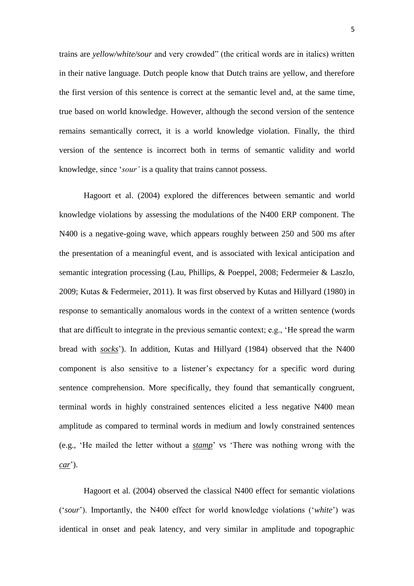trains are *yellow/white/sour* and very crowded" (the critical words are in italics) written in their native language. Dutch people know that Dutch trains are yellow, and therefore the first version of this sentence is correct at the semantic level and, at the same time, true based on world knowledge. However, although the second version of the sentence remains semantically correct, it is a world knowledge violation. Finally, the third version of the sentence is incorrect both in terms of semantic validity and world knowledge, since '*sour'* is a quality that trains cannot possess.

Hagoort et al. (2004) explored the differences between semantic and world knowledge violations by assessing the modulations of the N400 ERP component. The N400 is a negative-going wave, which appears roughly between 250 and 500 ms after the presentation of a meaningful event, and is associated with lexical anticipation and semantic integration processing (Lau, Phillips, & Poeppel, 2008; Federmeier & Laszlo, 2009; Kutas & Federmeier, 2011). It was first observed by Kutas and Hillyard (1980) in response to semantically anomalous words in the context of a written sentence (words that are difficult to integrate in the previous semantic context; e.g., 'He spread the warm bread with *socks*'). In addition, Kutas and Hillyard (1984) observed that the N400 component is also sensitive to a listener's expectancy for a specific word during sentence comprehension. More specifically, they found that semantically congruent, terminal words in highly constrained sentences elicited a less negative N400 mean amplitude as compared to terminal words in medium and lowly constrained sentences (e.g., 'He mailed the letter without a *stamp*' vs 'There was nothing wrong with the *car*').

Hagoort et al. (2004) observed the classical N400 effect for semantic violations ('*sour*'). Importantly, the N400 effect for world knowledge violations ('*white*') was identical in onset and peak latency, and very similar in amplitude and topographic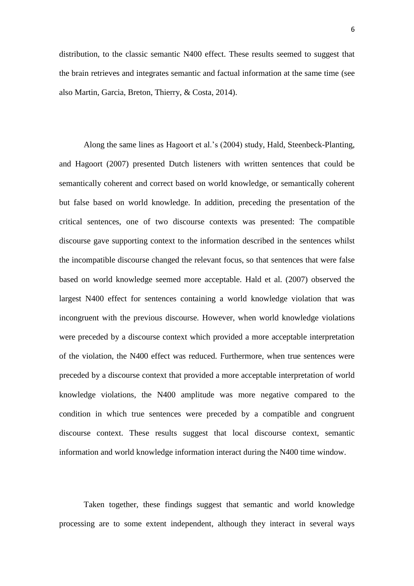distribution, to the classic semantic N400 effect. These results seemed to suggest that the brain retrieves and integrates semantic and factual information at the same time (see also Martin, Garcia, Breton, Thierry, & Costa, 2014).

Along the same lines as Hagoort et al.'s (2004) study, Hald, Steenbeck-Planting, and Hagoort (2007) presented Dutch listeners with written sentences that could be semantically coherent and correct based on world knowledge, or semantically coherent but false based on world knowledge. In addition, preceding the presentation of the critical sentences, one of two discourse contexts was presented: The compatible discourse gave supporting context to the information described in the sentences whilst the incompatible discourse changed the relevant focus, so that sentences that were false based on world knowledge seemed more acceptable. Hald et al. (2007) observed the largest N400 effect for sentences containing a world knowledge violation that was incongruent with the previous discourse. However, when world knowledge violations were preceded by a discourse context which provided a more acceptable interpretation of the violation, the N400 effect was reduced. Furthermore, when true sentences were preceded by a discourse context that provided a more acceptable interpretation of world knowledge violations, the N400 amplitude was more negative compared to the condition in which true sentences were preceded by a compatible and congruent discourse context. These results suggest that local discourse context, semantic information and world knowledge information interact during the N400 time window.

Taken together, these findings suggest that semantic and world knowledge processing are to some extent independent, although they interact in several ways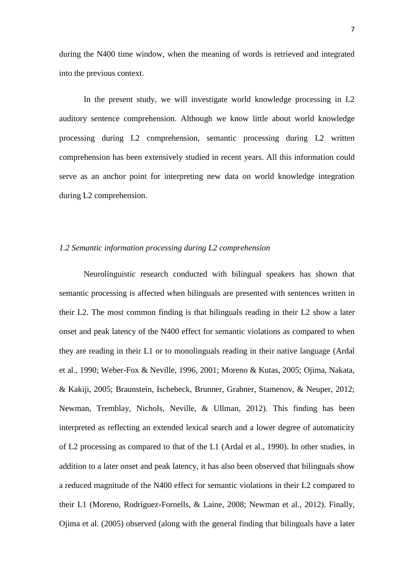during the N400 time window, when the meaning of words is retrieved and integrated into the previous context.

In the present study, we will investigate world knowledge processing in L2 auditory sentence comprehension. Although we know little about world knowledge processing during L2 comprehension, semantic processing during L2 written comprehension has been extensively studied in recent years. All this information could serve as an anchor point for interpreting new data on world knowledge integration during L2 comprehension.

### *1.2 Semantic information processing during L2 comprehension*

Neurolinguistic research conducted with bilingual speakers has shown that semantic processing is affected when bilinguals are presented with sentences written in their L2. The most common finding is that bilinguals reading in their L2 show a later onset and peak latency of the N400 effect for semantic violations as compared to when they are reading in their L1 or to monolinguals reading in their native language (Ardal et al., 1990; Weber-Fox & Neville, 1996, 2001; Moreno & Kutas, 2005; Ojima, Nakata, & Kakiji, 2005; Braunstein, Ischebeck, Brunner, Grabner, Stamenov, & Neuper, 2012; Newman, Tremblay, Nichols, Neville, & Ullman, 2012). This finding has been interpreted as reflecting an extended lexical search and a lower degree of automaticity of L2 processing as compared to that of the L1 (Ardal et al., 1990). In other studies, in addition to a later onset and peak latency, it has also been observed that bilinguals show a reduced magnitude of the N400 effect for semantic violations in their L2 compared to their L1 (Moreno, Rodríguez-Fornells, & Laine, 2008; Newman et al., 2012). Finally, Ojima et al. (2005) observed (along with the general finding that bilinguals have a later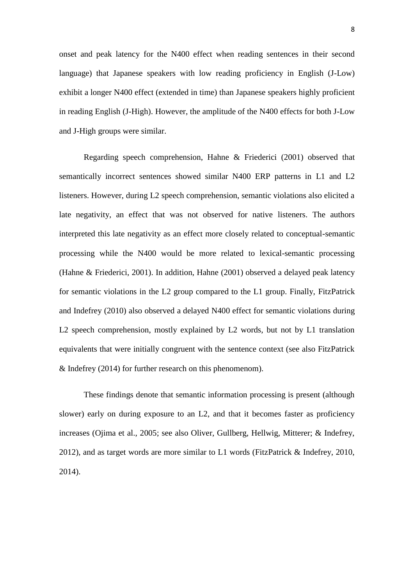onset and peak latency for the N400 effect when reading sentences in their second language) that Japanese speakers with low reading proficiency in English (J-Low) exhibit a longer N400 effect (extended in time) than Japanese speakers highly proficient in reading English (J-High). However, the amplitude of the N400 effects for both J-Low and J-High groups were similar.

Regarding speech comprehension, Hahne & Friederici (2001) observed that semantically incorrect sentences showed similar N400 ERP patterns in L1 and L2 listeners. However, during L2 speech comprehension, semantic violations also elicited a late negativity, an effect that was not observed for native listeners. The authors interpreted this late negativity as an effect more closely related to conceptual-semantic processing while the N400 would be more related to lexical-semantic processing (Hahne & Friederici, 2001). In addition, Hahne (2001) observed a delayed peak latency for semantic violations in the L2 group compared to the L1 group. Finally, FitzPatrick and Indefrey (2010) also observed a delayed N400 effect for semantic violations during L<sub>2</sub> speech comprehension, mostly explained by L<sub>2</sub> words, but not by L<sub>1</sub> translation equivalents that were initially congruent with the sentence context (see also FitzPatrick & Indefrey (2014) for further research on this phenomenom).

These findings denote that semantic information processing is present (although slower) early on during exposure to an L2, and that it becomes faster as proficiency increases (Ojima et al., 2005; see also Oliver, Gullberg, Hellwig, Mitterer; & Indefrey, 2012), and as target words are more similar to L1 words (FitzPatrick & Indefrey, 2010, 2014).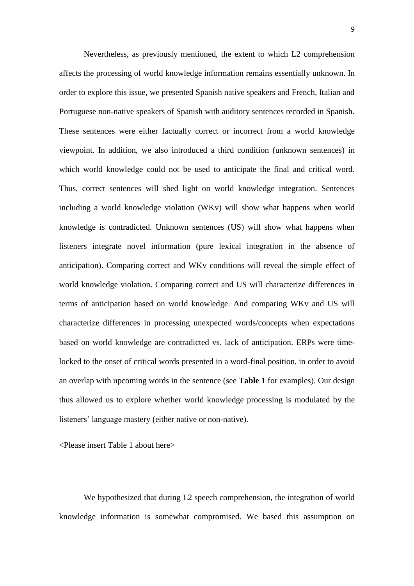Nevertheless, as previously mentioned, the extent to which L2 comprehension affects the processing of world knowledge information remains essentially unknown. In order to explore this issue, we presented Spanish native speakers and French, Italian and Portuguese non-native speakers of Spanish with auditory sentences recorded in Spanish. These sentences were either factually correct or incorrect from a world knowledge viewpoint. In addition, we also introduced a third condition (unknown sentences) in which world knowledge could not be used to anticipate the final and critical word. Thus, correct sentences will shed light on world knowledge integration. Sentences including a world knowledge violation (WKv) will show what happens when world knowledge is contradicted. Unknown sentences (US) will show what happens when listeners integrate novel information (pure lexical integration in the absence of anticipation). Comparing correct and WKv conditions will reveal the simple effect of world knowledge violation. Comparing correct and US will characterize differences in terms of anticipation based on world knowledge. And comparing WKv and US will characterize differences in processing unexpected words/concepts when expectations based on world knowledge are contradicted vs. lack of anticipation. ERPs were timelocked to the onset of critical words presented in a word-final position, in order to avoid an overlap with upcoming words in the sentence (see **Table 1** for examples). Our design thus allowed us to explore whether world knowledge processing is modulated by the listeners' language mastery (either native or non-native).

<Please insert Table 1 about here>

We hypothesized that during L2 speech comprehension, the integration of world knowledge information is somewhat compromised. We based this assumption on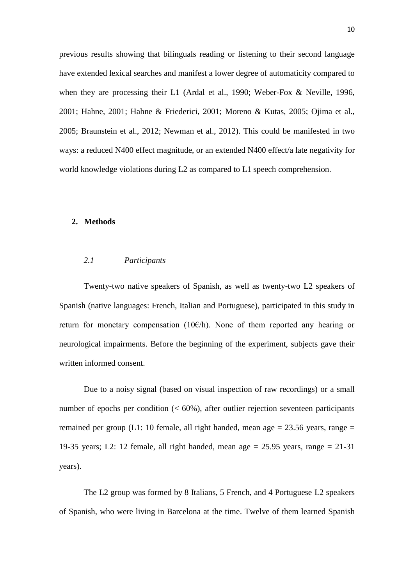previous results showing that bilinguals reading or listening to their second language have extended lexical searches and manifest a lower degree of automaticity compared to when they are processing their L1 (Ardal et al., 1990; Weber-Fox & Neville, 1996, 2001; Hahne, 2001; Hahne & Friederici, 2001; Moreno & Kutas, 2005; Ojima et al., 2005; Braunstein et al., 2012; Newman et al., 2012). This could be manifested in two ways: a reduced N400 effect magnitude, or an extended N400 effect/a late negativity for world knowledge violations during L2 as compared to L1 speech comprehension.

## **2. Methods**

### *2.1 Participants*

Twenty-two native speakers of Spanish, as well as twenty-two L2 speakers of Spanish (native languages: French, Italian and Portuguese), participated in this study in return for monetary compensation (10 $\varepsilon$ /h). None of them reported any hearing or neurological impairments. Before the beginning of the experiment, subjects gave their written informed consent.

Due to a noisy signal (based on visual inspection of raw recordings) or a small number of epochs per condition  $\langle \langle 60\% \rangle$ , after outlier rejection seventeen participants remained per group (L1: 10 female, all right handed, mean age  $= 23.56$  years, range  $=$ 19-35 years; L2: 12 female, all right handed, mean age  $= 25.95$  years, range  $= 21-31$ years).

The L2 group was formed by 8 Italians, 5 French, and 4 Portuguese L2 speakers of Spanish, who were living in Barcelona at the time. Twelve of them learned Spanish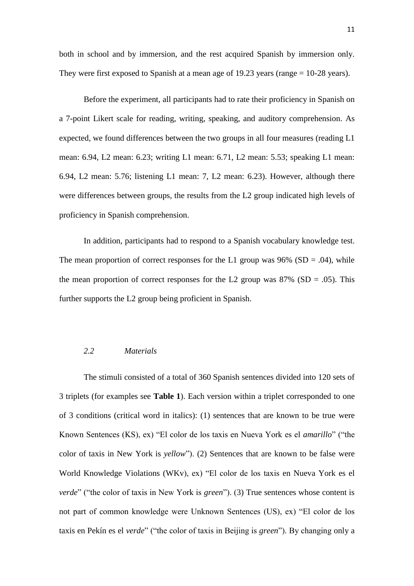both in school and by immersion, and the rest acquired Spanish by immersion only. They were first exposed to Spanish at a mean age of 19.23 years (range = 10-28 years).

Before the experiment, all participants had to rate their proficiency in Spanish on a 7-point Likert scale for reading, writing, speaking, and auditory comprehension. As expected, we found differences between the two groups in all four measures (reading L1 mean: 6.94, L2 mean: 6.23; writing L1 mean: 6.71, L2 mean: 5.53; speaking L1 mean: 6.94, L2 mean: 5.76; listening L1 mean: 7, L2 mean: 6.23). However, although there were differences between groups, the results from the L2 group indicated high levels of proficiency in Spanish comprehension.

In addition, participants had to respond to a Spanish vocabulary knowledge test. The mean proportion of correct responses for the L1 group was  $96\%$  (SD = .04), while the mean proportion of correct responses for the L2 group was  $87\%$  (SD = .05). This further supports the L2 group being proficient in Spanish.

## *2.2 Materials*

The stimuli consisted of a total of 360 Spanish sentences divided into 120 sets of 3 triplets (for examples see **Table 1**). Each version within a triplet corresponded to one of 3 conditions (critical word in italics): (1) sentences that are known to be true were Known Sentences (KS), ex) "El color de los taxis en Nueva York es el *amarillo*" ("the color of taxis in New York is *yellow*"). (2) Sentences that are known to be false were World Knowledge Violations (WKv), ex) "El color de los taxis en Nueva York es el *verde*" ("the color of taxis in New York is *green*"). (3) True sentences whose content is not part of common knowledge were Unknown Sentences (US), ex) "El color de los taxis en Pekín es el *verde*" ("the color of taxis in Beijing is *green*"). By changing only a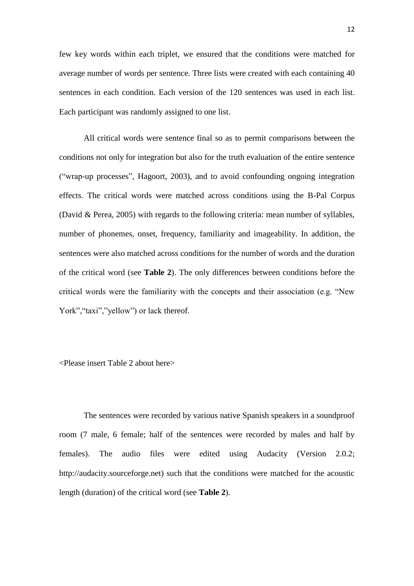few key words within each triplet, we ensured that the conditions were matched for average number of words per sentence. Three lists were created with each containing 40 sentences in each condition. Each version of the 120 sentences was used in each list. Each participant was randomly assigned to one list.

All critical words were sentence final so as to permit comparisons between the conditions not only for integration but also for the truth evaluation of the entire sentence ("wrap-up processes", Hagoort, 2003), and to avoid confounding ongoing integration effects. The critical words were matched across conditions using the B-Pal Corpus (David & Perea, 2005) with regards to the following criteria: mean number of syllables, number of phonemes, onset, frequency, familiarity and imageability. In addition, the sentences were also matched across conditions for the number of words and the duration of the critical word (see **Table 2**). The only differences between conditions before the critical words were the familiarity with the concepts and their association (e.g. "New York", "taxi", "yellow") or lack thereof.

<Please insert Table 2 about here>

The sentences were recorded by various native Spanish speakers in a soundproof room (7 male, 6 female; half of the sentences were recorded by males and half by females). The audio files were edited using Audacity (Version 2.0.2; http://audacity.sourceforge.net) such that the conditions were matched for the acoustic length (duration) of the critical word (see **Table 2**).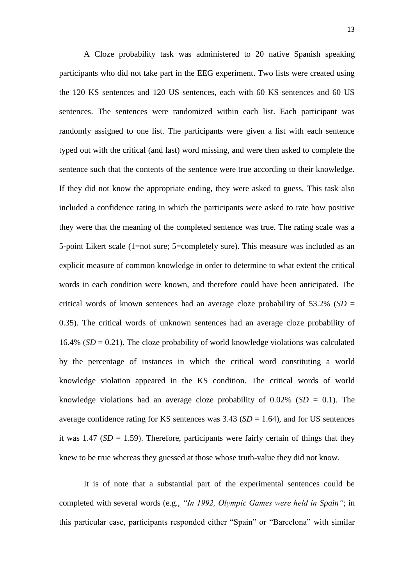A Cloze probability task was administered to 20 native Spanish speaking participants who did not take part in the EEG experiment. Two lists were created using the 120 KS sentences and 120 US sentences, each with 60 KS sentences and 60 US sentences. The sentences were randomized within each list. Each participant was randomly assigned to one list. The participants were given a list with each sentence typed out with the critical (and last) word missing, and were then asked to complete the sentence such that the contents of the sentence were true according to their knowledge. If they did not know the appropriate ending, they were asked to guess. This task also included a confidence rating in which the participants were asked to rate how positive they were that the meaning of the completed sentence was true. The rating scale was a 5-point Likert scale (1=not sure; 5=completely sure). This measure was included as an explicit measure of common knowledge in order to determine to what extent the critical words in each condition were known, and therefore could have been anticipated. The critical words of known sentences had an average cloze probability of  $53.2\%$  (*SD* = 0.35). The critical words of unknown sentences had an average cloze probability of 16.4% ( $SD = 0.21$ ). The cloze probability of world knowledge violations was calculated by the percentage of instances in which the critical word constituting a world knowledge violation appeared in the KS condition. The critical words of world knowledge violations had an average cloze probability of  $0.02\%$  (*SD* = 0.1). The average confidence rating for KS sentences was  $3.43$  (*SD* = 1.64), and for US sentences it was  $1.47$  (*SD* = 1.59). Therefore, participants were fairly certain of things that they knew to be true whereas they guessed at those whose truth-value they did not know.

It is of note that a substantial part of the experimental sentences could be completed with several words (e.g., *"In 1992, Olympic Games were held in Spain"*; in this particular case, participants responded either "Spain" or "Barcelona" with similar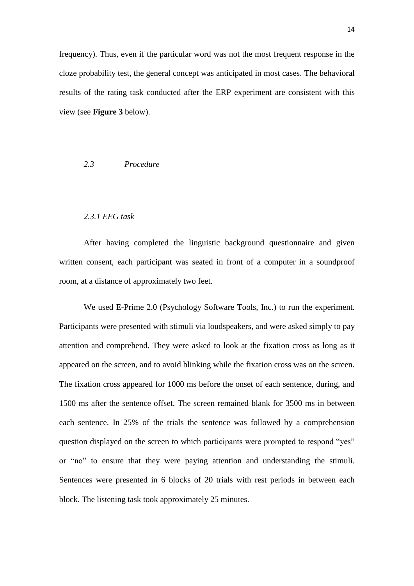frequency). Thus, even if the particular word was not the most frequent response in the cloze probability test, the general concept was anticipated in most cases. The behavioral results of the rating task conducted after the ERP experiment are consistent with this view (see **Figure 3** below).

### *2.3 Procedure*

#### *2.3.1 EEG task*

After having completed the linguistic background questionnaire and given written consent, each participant was seated in front of a computer in a soundproof room, at a distance of approximately two feet.

We used E-Prime 2.0 (Psychology Software Tools, Inc.) to run the experiment. Participants were presented with stimuli via loudspeakers, and were asked simply to pay attention and comprehend. They were asked to look at the fixation cross as long as it appeared on the screen, and to avoid blinking while the fixation cross was on the screen. The fixation cross appeared for 1000 ms before the onset of each sentence, during, and 1500 ms after the sentence offset. The screen remained blank for 3500 ms in between each sentence. In 25% of the trials the sentence was followed by a comprehension question displayed on the screen to which participants were prompted to respond "yes" or "no" to ensure that they were paying attention and understanding the stimuli. Sentences were presented in 6 blocks of 20 trials with rest periods in between each block. The listening task took approximately 25 minutes.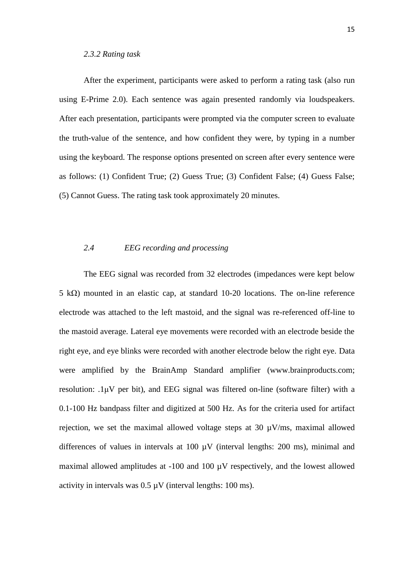After the experiment, participants were asked to perform a rating task (also run using E-Prime 2.0). Each sentence was again presented randomly via loudspeakers. After each presentation, participants were prompted via the computer screen to evaluate the truth-value of the sentence, and how confident they were, by typing in a number using the keyboard. The response options presented on screen after every sentence were as follows: (1) Confident True; (2) Guess True; (3) Confident False; (4) Guess False; (5) Cannot Guess. The rating task took approximately 20 minutes.

## *2.4 EEG recording and processing*

The EEG signal was recorded from 32 electrodes (impedances were kept below 5 kΩ) mounted in an elastic cap, at standard 10-20 locations. The on-line reference electrode was attached to the left mastoid, and the signal was re-referenced off-line to the mastoid average. Lateral eye movements were recorded with an electrode beside the right eye, and eye blinks were recorded with another electrode below the right eye. Data were amplified by the BrainAmp Standard amplifier (www.brainproducts.com; resolution: .1μV per bit), and EEG signal was filtered on-line (software filter) with a 0.1-100 Hz bandpass filter and digitized at 500 Hz. As for the criteria used for artifact rejection, we set the maximal allowed voltage steps at 30  $\mu$ V/ms, maximal allowed differences of values in intervals at 100 µV (interval lengths: 200 ms), minimal and maximal allowed amplitudes at -100 and 100 µV respectively, and the lowest allowed activity in intervals was  $0.5 \mu V$  (interval lengths: 100 ms).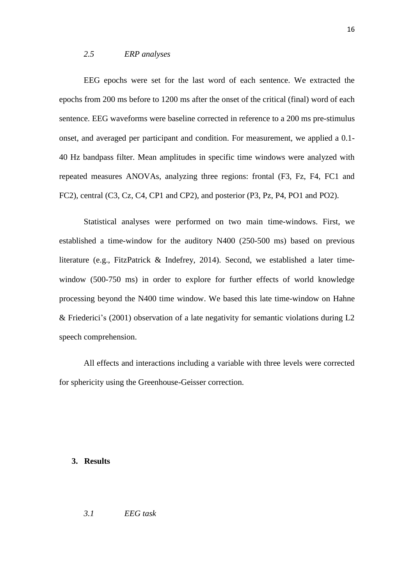## *2.5 ERP analyses*

EEG epochs were set for the last word of each sentence. We extracted the epochs from 200 ms before to 1200 ms after the onset of the critical (final) word of each sentence. EEG waveforms were baseline corrected in reference to a 200 ms pre-stimulus onset, and averaged per participant and condition. For measurement, we applied a 0.1- 40 Hz bandpass filter. Mean amplitudes in specific time windows were analyzed with repeated measures ANOVAs, analyzing three regions: frontal (F3, Fz, F4, FC1 and FC2), central (C3, Cz, C4, CP1 and CP2), and posterior (P3, Pz, P4, PO1 and PO2).

Statistical analyses were performed on two main time-windows. First, we established a time-window for the auditory N400 (250-500 ms) based on previous literature (e.g., FitzPatrick & Indefrey, 2014). Second, we established a later timewindow (500-750 ms) in order to explore for further effects of world knowledge processing beyond the N400 time window. We based this late time-window on Hahne & Friederici's (2001) observation of a late negativity for semantic violations during L2 speech comprehension.

All effects and interactions including a variable with three levels were corrected for sphericity using the Greenhouse-Geisser correction.

#### **3. Results**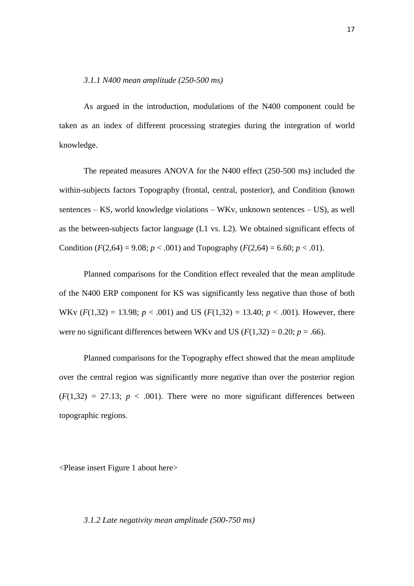#### *3.1.1 N400 mean amplitude (250-500 ms)*

As argued in the introduction, modulations of the N400 component could be taken as an index of different processing strategies during the integration of world knowledge.

The repeated measures ANOVA for the N400 effect (250-500 ms) included the within-subjects factors Topography (frontal, central, posterior), and Condition (known sentences – KS, world knowledge violations – WKv, unknown sentences – US), as well as the between-subjects factor language (L1 vs. L2). We obtained significant effects of Condition  $(F(2,64) = 9.08; p < .001)$  and Topography  $(F(2,64) = 6.60; p < .01)$ .

Planned comparisons for the Condition effect revealed that the mean amplitude of the N400 ERP component for KS was significantly less negative than those of both WKv  $(F(1,32) = 13.98; p < .001)$  and US  $(F(1,32) = 13.40; p < .001)$ . However, there were no significant differences between WKv and US ( $F(1,32) = 0.20$ ;  $p = .66$ ).

Planned comparisons for the Topography effect showed that the mean amplitude over the central region was significantly more negative than over the posterior region  $(F(1,32) = 27.13; p < .001)$ . There were no more significant differences between topographic regions.

<Please insert Figure 1 about here>

### *3.1.2 Late negativity mean amplitude (500-750 ms)*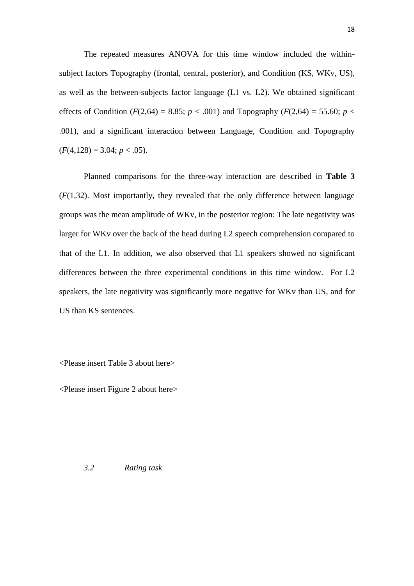The repeated measures ANOVA for this time window included the withinsubject factors Topography (frontal, central, posterior), and Condition (KS, WKv, US), as well as the between-subjects factor language (L1 vs. L2). We obtained significant effects of Condition ( $F(2,64) = 8.85$ ;  $p < .001$ ) and Topography ( $F(2,64) = 55.60$ ;  $p <$ .001), and a significant interaction between Language, Condition and Topography  $(F(4,128) = 3.04; p < .05).$ 

Planned comparisons for the three-way interaction are described in **Table 3** (*F*(1,32). Most importantly, they revealed that the only difference between language groups was the mean amplitude of WKv, in the posterior region: The late negativity was larger for WKv over the back of the head during L2 speech comprehension compared to that of the L1. In addition, we also observed that L1 speakers showed no significant differences between the three experimental conditions in this time window. For L2 speakers, the late negativity was significantly more negative for WKv than US, and for US than KS sentences.

<Please insert Table 3 about here>

<Please insert Figure 2 about here>

*3.2 Rating task*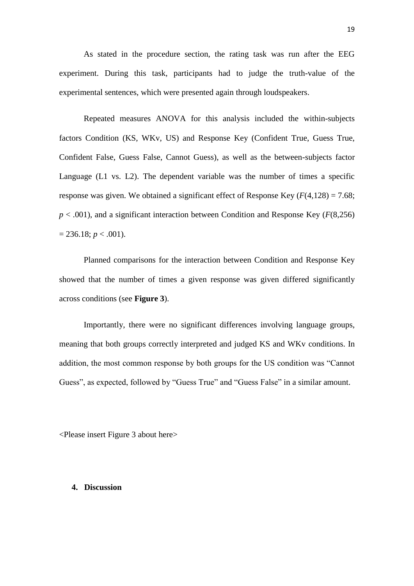As stated in the procedure section, the rating task was run after the EEG experiment. During this task, participants had to judge the truth-value of the experimental sentences, which were presented again through loudspeakers.

Repeated measures ANOVA for this analysis included the within-subjects factors Condition (KS, WKv, US) and Response Key (Confident True, Guess True, Confident False, Guess False, Cannot Guess), as well as the between-subjects factor Language (L1 vs. L2). The dependent variable was the number of times a specific response was given. We obtained a significant effect of Response Key  $(F(4,128) = 7.68)$ ;  $p < .001$ ), and a significant interaction between Condition and Response Key ( $F(8,256)$ )  $= 236.18$ ; *p* < .001).

Planned comparisons for the interaction between Condition and Response Key showed that the number of times a given response was given differed significantly across conditions (see **Figure 3**).

Importantly, there were no significant differences involving language groups, meaning that both groups correctly interpreted and judged KS and WKv conditions. In addition, the most common response by both groups for the US condition was "Cannot Guess", as expected, followed by "Guess True" and "Guess False" in a similar amount.

<Please insert Figure 3 about here>

## **4. Discussion**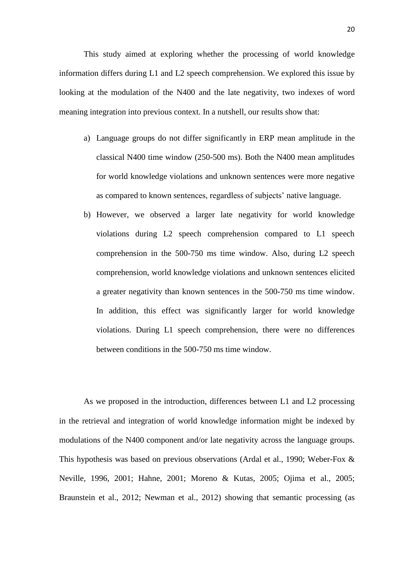This study aimed at exploring whether the processing of world knowledge information differs during L1 and L2 speech comprehension. We explored this issue by looking at the modulation of the N400 and the late negativity, two indexes of word meaning integration into previous context. In a nutshell, our results show that:

- a) Language groups do not differ significantly in ERP mean amplitude in the classical N400 time window (250-500 ms). Both the N400 mean amplitudes for world knowledge violations and unknown sentences were more negative as compared to known sentences, regardless of subjects' native language.
- b) However, we observed a larger late negativity for world knowledge violations during L2 speech comprehension compared to L1 speech comprehension in the 500-750 ms time window. Also, during L2 speech comprehension, world knowledge violations and unknown sentences elicited a greater negativity than known sentences in the 500-750 ms time window. In addition, this effect was significantly larger for world knowledge violations. During L1 speech comprehension, there were no differences between conditions in the 500-750 ms time window.

As we proposed in the introduction, differences between L1 and L2 processing in the retrieval and integration of world knowledge information might be indexed by modulations of the N400 component and/or late negativity across the language groups. This hypothesis was based on previous observations (Ardal et al., 1990; Weber-Fox & Neville, 1996, 2001; Hahne, 2001; Moreno & Kutas, 2005; Ojima et al., 2005; Braunstein et al., 2012; Newman et al., 2012) showing that semantic processing (as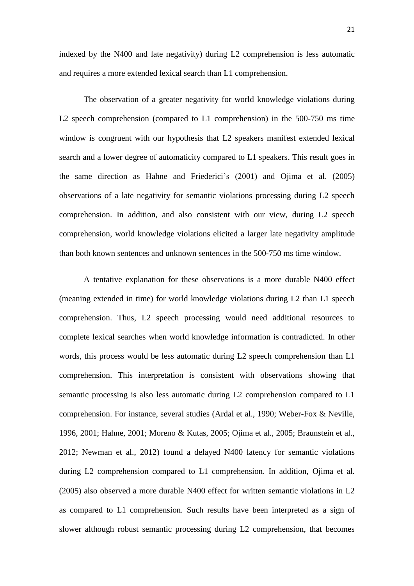indexed by the N400 and late negativity) during L2 comprehension is less automatic and requires a more extended lexical search than L1 comprehension.

The observation of a greater negativity for world knowledge violations during L2 speech comprehension (compared to L1 comprehension) in the 500-750 ms time window is congruent with our hypothesis that L2 speakers manifest extended lexical search and a lower degree of automaticity compared to L1 speakers. This result goes in the same direction as Hahne and Friederici's (2001) and Ojima et al. (2005) observations of a late negativity for semantic violations processing during L2 speech comprehension. In addition, and also consistent with our view, during L2 speech comprehension, world knowledge violations elicited a larger late negativity amplitude than both known sentences and unknown sentences in the 500-750 ms time window.

A tentative explanation for these observations is a more durable N400 effect (meaning extended in time) for world knowledge violations during L2 than L1 speech comprehension. Thus, L2 speech processing would need additional resources to complete lexical searches when world knowledge information is contradicted. In other words, this process would be less automatic during L2 speech comprehension than L1 comprehension. This interpretation is consistent with observations showing that semantic processing is also less automatic during L2 comprehension compared to L1 comprehension. For instance, several studies (Ardal et al., 1990; Weber-Fox & Neville, 1996, 2001; Hahne, 2001; Moreno & Kutas, 2005; Ojima et al., 2005; Braunstein et al., 2012; Newman et al., 2012) found a delayed N400 latency for semantic violations during L2 comprehension compared to L1 comprehension. In addition, Ojima et al. (2005) also observed a more durable N400 effect for written semantic violations in L2 as compared to L1 comprehension. Such results have been interpreted as a sign of slower although robust semantic processing during L2 comprehension, that becomes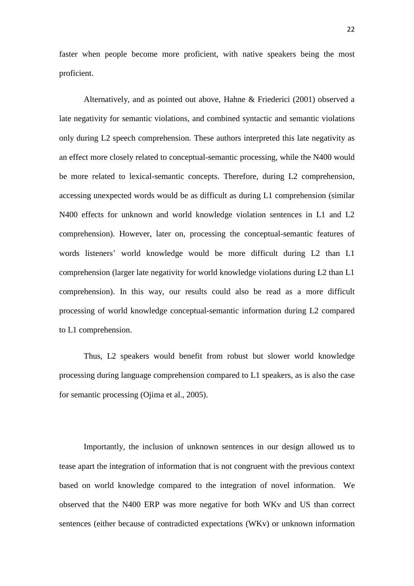faster when people become more proficient, with native speakers being the most proficient.

Alternatively, and as pointed out above, Hahne & Friederici (2001) observed a late negativity for semantic violations, and combined syntactic and semantic violations only during L2 speech comprehension. These authors interpreted this late negativity as an effect more closely related to conceptual-semantic processing, while the N400 would be more related to lexical-semantic concepts. Therefore, during L2 comprehension, accessing unexpected words would be as difficult as during L1 comprehension (similar N400 effects for unknown and world knowledge violation sentences in L1 and L2 comprehension). However, later on, processing the conceptual-semantic features of words listeners' world knowledge would be more difficult during L2 than L1 comprehension (larger late negativity for world knowledge violations during L2 than L1 comprehension). In this way, our results could also be read as a more difficult processing of world knowledge conceptual-semantic information during L2 compared to L1 comprehension.

Thus, L2 speakers would benefit from robust but slower world knowledge processing during language comprehension compared to L1 speakers, as is also the case for semantic processing (Ojima et al., 2005).

Importantly, the inclusion of unknown sentences in our design allowed us to tease apart the integration of information that is not congruent with the previous context based on world knowledge compared to the integration of novel information. We observed that the N400 ERP was more negative for both WKv and US than correct sentences (either because of contradicted expectations (WKv) or unknown information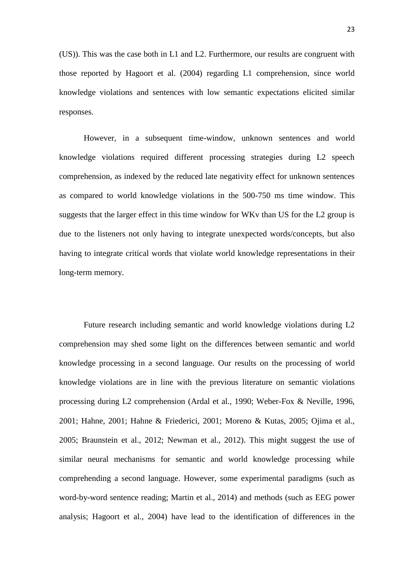(US)). This was the case both in L1 and L2. Furthermore, our results are congruent with those reported by Hagoort et al. (2004) regarding L1 comprehension, since world knowledge violations and sentences with low semantic expectations elicited similar responses.

However, in a subsequent time-window, unknown sentences and world knowledge violations required different processing strategies during L2 speech comprehension, as indexed by the reduced late negativity effect for unknown sentences as compared to world knowledge violations in the 500-750 ms time window. This suggests that the larger effect in this time window for WKv than US for the L2 group is due to the listeners not only having to integrate unexpected words/concepts, but also having to integrate critical words that violate world knowledge representations in their long-term memory.

Future research including semantic and world knowledge violations during L2 comprehension may shed some light on the differences between semantic and world knowledge processing in a second language. Our results on the processing of world knowledge violations are in line with the previous literature on semantic violations processing during L2 comprehension (Ardal et al., 1990; Weber-Fox & Neville, 1996, 2001; Hahne, 2001; Hahne & Friederici, 2001; Moreno & Kutas, 2005; Ojima et al., 2005; Braunstein et al., 2012; Newman et al., 2012). This might suggest the use of similar neural mechanisms for semantic and world knowledge processing while comprehending a second language. However, some experimental paradigms (such as word-by-word sentence reading; Martin et al., 2014) and methods (such as EEG power analysis; Hagoort et al., 2004) have lead to the identification of differences in the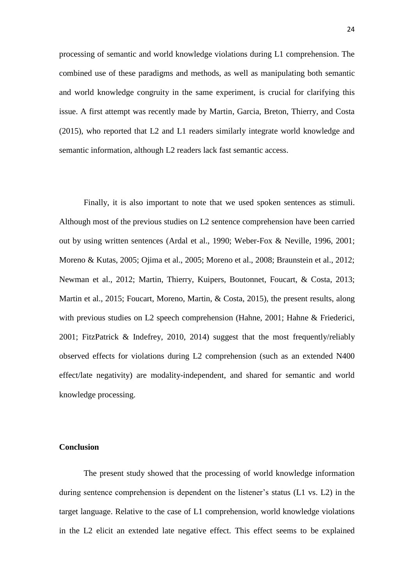processing of semantic and world knowledge violations during L1 comprehension. The combined use of these paradigms and methods, as well as manipulating both semantic and world knowledge congruity in the same experiment, is crucial for clarifying this issue. A first attempt was recently made by Martin, Garcia, Breton, Thierry, and Costa (2015), who reported that L2 and L1 readers similarly integrate world knowledge and semantic information, although L2 readers lack fast semantic access.

Finally, it is also important to note that we used spoken sentences as stimuli. Although most of the previous studies on L2 sentence comprehension have been carried out by using written sentences (Ardal et al., 1990; Weber-Fox & Neville, 1996, 2001; Moreno & Kutas, 2005; Ojima et al., 2005; Moreno et al., 2008; Braunstein et al., 2012; Newman et al., 2012; Martin, Thierry, Kuipers, Boutonnet, Foucart, & Costa, 2013; Martin et al., 2015; Foucart, Moreno, Martin, & Costa, 2015), the present results, along with previous studies on L2 speech comprehension (Hahne, 2001; Hahne & Friederici, 2001; FitzPatrick & Indefrey, 2010, 2014) suggest that the most frequently/reliably observed effects for violations during L2 comprehension (such as an extended N400 effect/late negativity) are modality-independent, and shared for semantic and world knowledge processing.

### **Conclusion**

The present study showed that the processing of world knowledge information during sentence comprehension is dependent on the listener's status (L1 vs. L2) in the target language. Relative to the case of L1 comprehension, world knowledge violations in the L2 elicit an extended late negative effect. This effect seems to be explained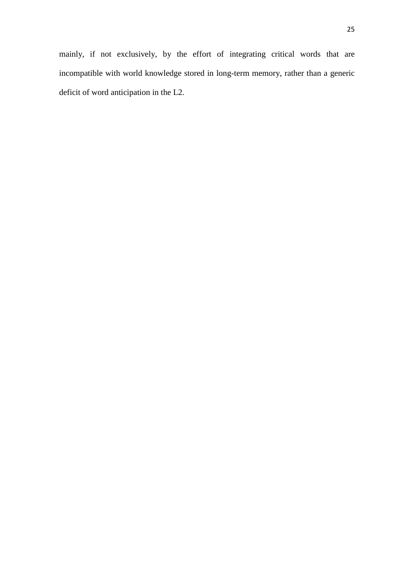mainly, if not exclusively, by the effort of integrating critical words that are incompatible with world knowledge stored in long-term memory, rather than a generic deficit of word anticipation in the L2.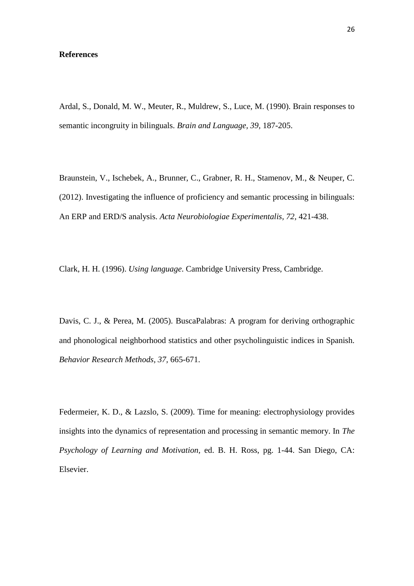### **References**

Ardal, S., Donald, M. W., Meuter, R., Muldrew, S., Luce, M. (1990). Brain responses to semantic incongruity in bilinguals. *Brain and Language, 39,* 187-205.

Braunstein, V., Ischebek, A., Brunner, C., Grabner, R. H., Stamenov, M., & Neuper, C. (2012). Investigating the influence of proficiency and semantic processing in bilinguals: An ERP and ERD/S analysis. *Acta Neurobiologiae Experimentalis, 72,* 421-438.

Clark, H. H. (1996). *Using language*. Cambridge University Press, Cambridge.

Davis, C. J., & Perea, M. (2005). BuscaPalabras: A program for deriving orthographic and phonological neighborhood statistics and other psycholinguistic indices in Spanish. *Behavior Research Methods, 37,* 665-671.

Federmeier, K. D., & Lazslo, S. (2009). Time for meaning: electrophysiology provides insights into the dynamics of representation and processing in semantic memory. In *The Psychology of Learning and Motivation,* ed. B. H. Ross, pg. 1-44. San Diego, CA: Elsevier.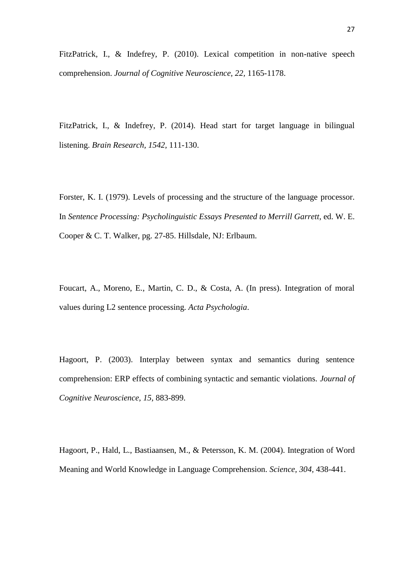FitzPatrick, I., & Indefrey, P. (2010). Lexical competition in non-native speech comprehension. *Journal of Cognitive Neuroscience, 22,* 1165-1178.

FitzPatrick, I., & Indefrey, P. (2014). Head start for target language in bilingual listening. *Brain Research, 1542,* 111-130.

Forster, K. I. (1979). Levels of processing and the structure of the language processor. In *Sentence Processing: Psycholinguistic Essays Presented to Merrill Garrett,* ed. W. E. Cooper & C. T. Walker, pg. 27-85. Hillsdale, NJ: Erlbaum.

Foucart, A., Moreno, E., Martin, C. D., & Costa, A. (In press). Integration of moral values during L2 sentence processing. *Acta Psychologia*.

Hagoort, P. (2003). Interplay between syntax and semantics during sentence comprehension: ERP effects of combining syntactic and semantic violations. *Journal of Cognitive Neuroscience, 15,* 883-899.

Hagoort, P., Hald, L., Bastiaansen, M., & Petersson, K. M. (2004). Integration of Word Meaning and World Knowledge in Language Comprehension. *Science, 304,* 438-441.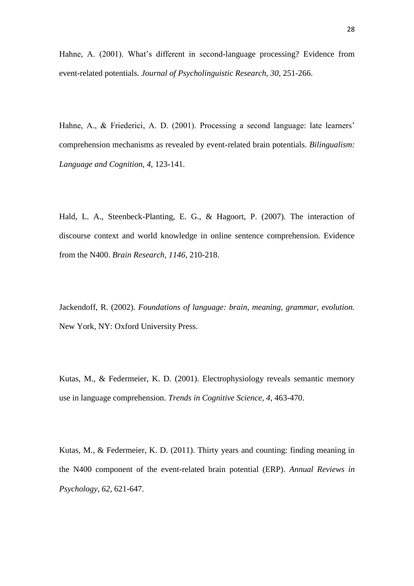Hahne, A. (2001). What's different in second-language processing? Evidence from event-related potentials. *Journal of Psycholinguistic Research, 30,* 251-266.

Hahne, A., & Friederici, A. D. (2001). Processing a second language: late learners' comprehension mechanisms as revealed by event-related brain potentials. *Bilingualism: Language and Cognition, 4,* 123-141.

Hald, L. A., Steenbeck-Planting, E. G., & Hagoort, P. (2007). The interaction of discourse context and world knowledge in online sentence comprehension. Evidence from the N400. *Brain Research, 1146,* 210-218.

Jackendoff, R. (2002). *Foundations of language: brain, meaning, grammar, evolution.* New York, NY: Oxford University Press.

Kutas, M., & Federmeier, K. D. (2001). Electrophysiology reveals semantic memory use in language comprehension. *Trends in Cognitive Science, 4,* 463-470.

Kutas, M., & Federmeier, K. D. (2011). Thirty years and counting: finding meaning in the N400 component of the event-related brain potential (ERP). *Annual Reviews in Psychology, 62,* 621-647.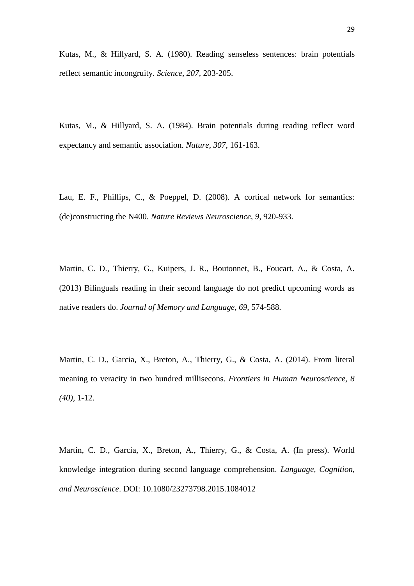Kutas, M., & Hillyard, S. A. (1980). Reading senseless sentences: brain potentials reflect semantic incongruity. *Science, 207,* 203-205.

Kutas, M., & Hillyard, S. A. (1984). Brain potentials during reading reflect word expectancy and semantic association. *Nature, 307,* 161-163.

Lau, E. F., Phillips, C., & Poeppel, D. (2008). A cortical network for semantics: (de)constructing the N400. *Nature Reviews Neuroscience, 9,* 920-933.

Martin, C. D., Thierry, G., Kuipers, J. R., Boutonnet, B., Foucart, A., & Costa, A. (2013) Bilinguals reading in their second language do not predict upcoming words as native readers do. *Journal of Memory and Language, 69,* 574-588.

Martin, C. D., Garcia, X., Breton, A., Thierry, G., & Costa, A. (2014). From literal meaning to veracity in two hundred millisecons. *Frontiers in Human Neuroscience, 8 (40),* 1-12.

Martin, C. D., Garcia, X., Breton, A., Thierry, G., & Costa, A. (In press). World knowledge integration during second language comprehension. *Language, Cognition, and Neuroscience*. DOI: 10.1080/23273798.2015.1084012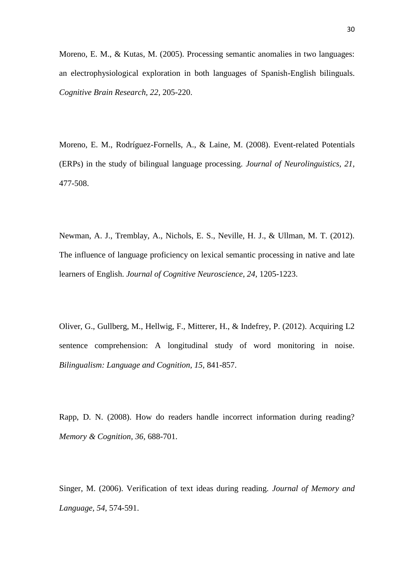Moreno, E. M., & Kutas, M. (2005). Processing semantic anomalies in two languages: an electrophysiological exploration in both languages of Spanish-English bilinguals. *Cognitive Brain Research, 22,* 205-220.

Moreno, E. M., Rodríguez-Fornells, A., & Laine, M. (2008). Event-related Potentials (ERPs) in the study of bilingual language processing. *Journal of Neurolinguistics, 21,*  477-508.

Newman, A. J., Tremblay, A., Nichols, E. S., Neville, H. J., & Ullman, M. T. (2012). The influence of language proficiency on lexical semantic processing in native and late learners of English. *Journal of Cognitive Neuroscience, 24,* 1205-1223.

Oliver, G., Gullberg, M., Hellwig, F., Mitterer, H., & Indefrey, P. (2012). Acquiring L2 sentence comprehension: A longitudinal study of word monitoring in noise. *Bilingualism: Language and Cognition, 15,* 841-857.

Rapp, D. N. (2008). How do readers handle incorrect information during reading? *Memory & Cognition, 36,* 688-701.

Singer, M. (2006). Verification of text ideas during reading. *Journal of Memory and Language, 54,* 574-591.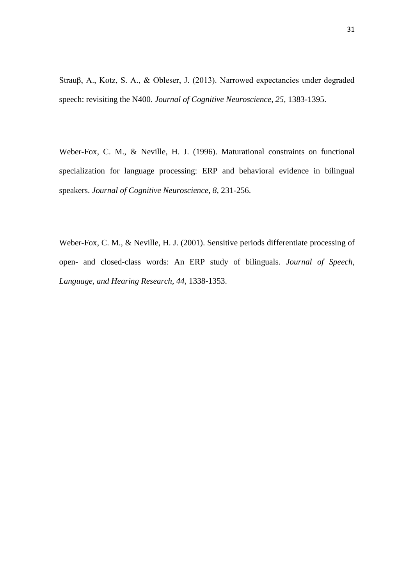Strauβ, A., Kotz, S. A., & Obleser, J. (2013). Narrowed expectancies under degraded speech: revisiting the N400. *Journal of Cognitive Neuroscience, 25,* 1383-1395.

Weber-Fox, C. M., & Neville, H. J. (1996). Maturational constraints on functional specialization for language processing: ERP and behavioral evidence in bilingual speakers. *Journal of Cognitive Neuroscience, 8,* 231-256.

Weber-Fox, C. M., & Neville, H. J. (2001). Sensitive periods differentiate processing of open- and closed-class words: An ERP study of bilinguals. *Journal of Speech, Language, and Hearing Research, 44,* 1338-1353.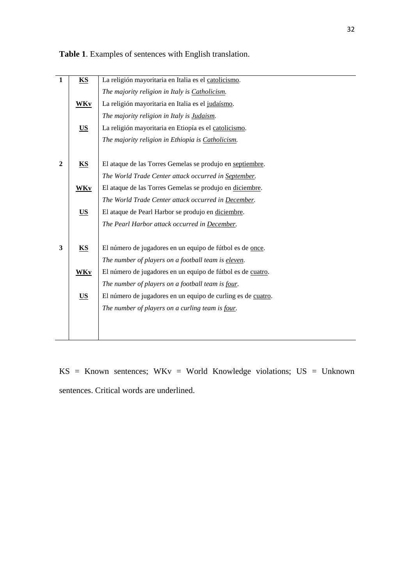| $\mathbf{1}$   | KS              | La religión mayoritaria en Italia es el catolicismo.         |
|----------------|-----------------|--------------------------------------------------------------|
|                |                 | The majority religion in Italy is Catholicism.               |
|                | <b>WKy</b>      | La religión mayoritaria en Italia es el judaísmo.            |
|                |                 | The majority religion in Italy is <b>Judaism</b> .           |
|                |                 |                                                              |
|                | US <sub>1</sub> | La religión mayoritaria en Etiopía es el catolicismo.        |
|                |                 | The majority religion in Ethiopia is Catholicism.            |
|                |                 |                                                              |
| $\overline{2}$ | <b>KS</b>       | El ataque de las Torres Gemelas se produjo en septiembre.    |
|                |                 | The World Trade Center attack occurred in September.         |
|                | <b>WKy</b>      | El ataque de las Torres Gemelas se produjo en diciembre.     |
|                |                 | The World Trade Center attack occurred in December.          |
|                | <b>US</b>       | El ataque de Pearl Harbor se produjo en diciembre.           |
|                |                 | The Pearl Harbor attack occurred in December.                |
| 3              | <b>KS</b>       | El número de jugadores en un equipo de fútbol es de once.    |
|                |                 |                                                              |
|                |                 | The number of players on a football team is eleven.          |
|                | <b>WKy</b>      | El número de jugadores en un equipo de fútbol es de cuatro.  |
|                |                 | The number of players on a football team is four.            |
|                | <b>US</b>       | El número de jugadores en un equipo de curling es de cuatro. |
|                |                 | The number of players on a curling team is four.             |
|                |                 |                                                              |
|                |                 |                                                              |
|                |                 |                                                              |

**Table 1**. Examples of sentences with English translation.

KS = Known sentences; WKv = World Knowledge violations; US = Unknown sentences. Critical words are underlined.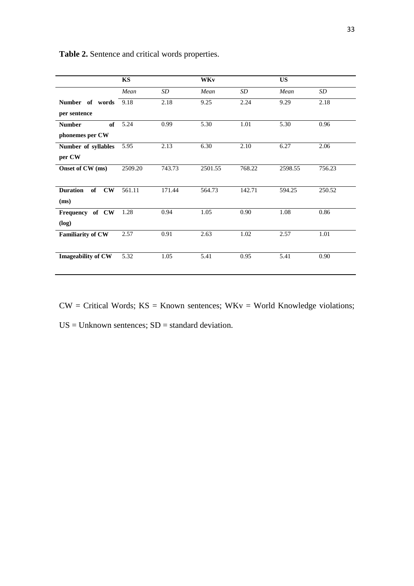|                           | KS      |        | <b>WKv</b> |                   | <b>US</b> |        |
|---------------------------|---------|--------|------------|-------------------|-----------|--------|
|                           | Mean    | SD     | Mean       | SD                | Mean      | SD     |
| Number of words           | 9.18    | 2.18   | 9.25       | 2.24              | 9.29      | 2.18   |
| per sentence              |         |        |            |                   |           |        |
| <b>Number</b><br>of       | 5.24    | 0.99   | 5.30       | 1.01              | 5.30      | 0.96   |
| phonemes per CW           |         |        |            |                   |           |        |
| Number of syllables       | 5.95    | 2.13   | 6.30       | $\overline{2.10}$ | 6.27      | 2.06   |
| per CW                    |         |        |            |                   |           |        |
| Onset of CW (ms)          | 2509.20 | 743.73 | 2501.55    | 768.22            | 2598.55   | 756.23 |
|                           |         |        |            |                   |           |        |
| <b>Duration</b><br>of CW  | 561.11  | 171.44 | 564.73     | 142.71            | 594.25    | 250.52 |
| (ms)                      |         |        |            |                   |           |        |
| Frequency of CW           | 1.28    | 0.94   | 1.05       | 0.90              | 1.08      | 0.86   |
| (log)                     |         |        |            |                   |           |        |
| <b>Familiarity of CW</b>  | 2.57    | 0.91   | 2.63       | 1.02              | 2.57      | 1.01   |
|                           |         |        |            |                   |           |        |
| <b>Imageability of CW</b> | 5.32    | 1.05   | 5.41       | 0.95              | 5.41      | 0.90   |
|                           |         |        |            |                   |           |        |

**Table 2.** Sentence and critical words properties.

 $CW = Critical Words$ ;  $KS = Known sentences$ ;  $WKv = World Knowledge violations$ ;  $US = Unknown sentences; SD = standard deviation.$